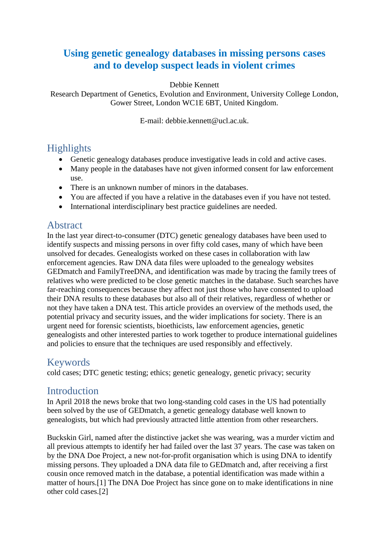# **Using genetic genealogy databases in missing persons cases and to develop suspect leads in violent crimes**

Debbie Kennett

Research Department of Genetics, Evolution and Environment, University College London, Gower Street, London WC1E 6BT, United Kingdom.

E-mail: debbie.kennett@ucl.ac.uk.

### **Highlights**

- Genetic genealogy databases produce investigative leads in cold and active cases.
- Many people in the databases have not given informed consent for law enforcement use.
- There is an unknown number of minors in the databases.
- You are affected if you have a relative in the databases even if you have not tested.
- International interdisciplinary best practice guidelines are needed.

#### Abstract

In the last year direct-to-consumer (DTC) genetic genealogy databases have been used to identify suspects and missing persons in over fifty cold cases, many of which have been unsolved for decades. Genealogists worked on these cases in collaboration with law enforcement agencies. Raw DNA data files were uploaded to the genealogy websites GEDmatch and FamilyTreeDNA, and identification was made by tracing the family trees of relatives who were predicted to be close genetic matches in the database. Such searches have far-reaching consequences because they affect not just those who have consented to upload their DNA results to these databases but also all of their relatives, regardless of whether or not they have taken a DNA test. This article provides an overview of the methods used, the potential privacy and security issues, and the wider implications for society. There is an urgent need for forensic scientists, bioethicists, law enforcement agencies, genetic genealogists and other interested parties to work together to produce international guidelines and policies to ensure that the techniques are used responsibly and effectively.

#### Keywords

cold cases; DTC genetic testing; ethics; genetic genealogy, genetic privacy; security

#### Introduction

In April 2018 the news broke that two long-standing cold cases in the US had potentially been solved by the use of GEDmatch, a genetic genealogy database well known to genealogists, but which had previously attracted little attention from other researchers.

Buckskin Girl, named after the distinctive jacket she was wearing, was a murder victim and all previous attempts to identify her had failed over the last 37 years. The case was taken on by the DNA Doe Project, a new not-for-profit organisation which is using DNA to identify missing persons. They uploaded a DNA data file to GEDmatch and, after receiving a first cousin once removed match in the database, a potential identification was made within a matter of hours.[1] The DNA Doe Project has since gone on to make identifications in nine other cold cases.[2]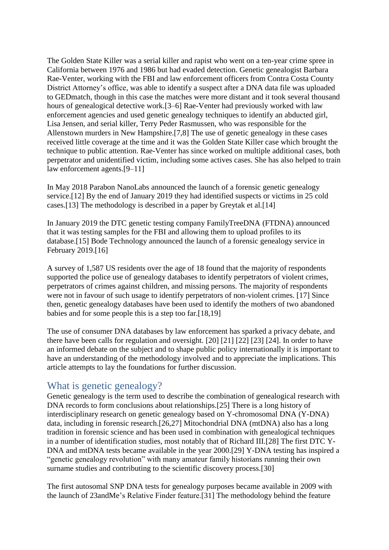The Golden State Killer was a serial killer and rapist who went on a ten-year crime spree in California between 1976 and 1986 but had evaded detection. Genetic genealogist Barbara Rae-Venter, working with the FBI and law enforcement officers from Contra Costa County District Attorney's office, was able to identify a suspect after a DNA data file was uploaded to GEDmatch, though in this case the matches were more distant and it took several thousand hours of genealogical detective work.[3–6] Rae-Venter had previously worked with law enforcement agencies and used genetic genealogy techniques to identify an abducted girl, Lisa Jensen, and serial killer, Terry Peder Rasmussen, who was responsible for the Allenstown murders in New Hampshire.[7,8] The use of genetic genealogy in these cases received little coverage at the time and it was the Golden State Killer case which brought the technique to public attention. Rae-Venter has since worked on multiple additional cases, both perpetrator and unidentified victim, including some actives cases. She has also helped to train law enforcement agents.[9–11]

In May 2018 Parabon NanoLabs announced the launch of a forensic genetic genealogy service.[12] By the end of January 2019 they had identified suspects or victims in 25 cold cases.[13] The methodology is described in a paper by Greytak et al.[14]

In January 2019 the DTC genetic testing company FamilyTreeDNA (FTDNA) announced that it was testing samples for the FBI and allowing them to upload profiles to its database.[15] Bode Technology announced the launch of a forensic genealogy service in February 2019.[16]

A survey of 1,587 US residents over the age of 18 found that the majority of respondents supported the police use of genealogy databases to identify perpetrators of violent crimes, perpetrators of crimes against children, and missing persons. The majority of respondents were not in favour of such usage to identify perpetrators of non-violent crimes. [17] Since then, genetic genealogy databases have been used to identify the mothers of two abandoned babies and for some people this is a step too far.[18,19]

The use of consumer DNA databases by law enforcement has sparked a privacy debate, and there have been calls for regulation and oversight. [20] [21] [22] [23] [24]. In order to have an informed debate on the subject and to shape public policy internationally it is important to have an understanding of the methodology involved and to appreciate the implications. This article attempts to lay the foundations for further discussion.

#### What is genetic genealogy?

Genetic genealogy is the term used to describe the combination of genealogical research with DNA records to form conclusions about relationships.[25] There is a long history of interdisciplinary research on genetic genealogy based on Y-chromosomal DNA (Y-DNA) data, including in forensic research.[26,27] Mitochondrial DNA (mtDNA) also has a long tradition in forensic science and has been used in combination with genealogical techniques in a number of identification studies, most notably that of Richard III.[28] The first DTC Y-DNA and mtDNA tests became available in the year 2000.[29] Y-DNA testing has inspired a "genetic genealogy revolution" with many amateur family historians running their own surname studies and contributing to the scientific discovery process.[30]

The first autosomal SNP DNA tests for genealogy purposes became available in 2009 with the launch of 23andMe's Relative Finder feature.[31] The methodology behind the feature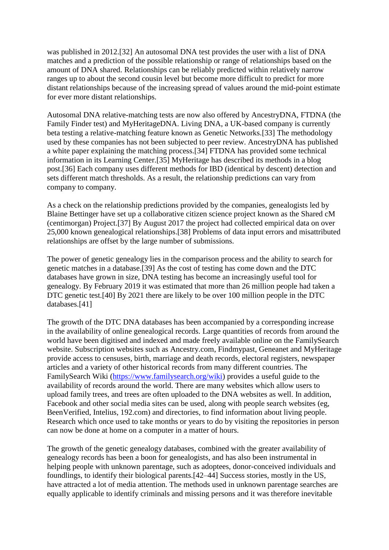was published in 2012.[32] An autosomal DNA test provides the user with a list of DNA matches and a prediction of the possible relationship or range of relationships based on the amount of DNA shared. Relationships can be reliably predicted within relatively narrow ranges up to about the second cousin level but become more difficult to predict for more distant relationships because of the increasing spread of values around the mid-point estimate for ever more distant relationships.

Autosomal DNA relative-matching tests are now also offered by AncestryDNA, FTDNA (the Family Finder test) and MyHeritageDNA. Living DNA, a UK-based company is currently beta testing a relative-matching feature known as Genetic Networks.[33] The methodology used by these companies has not been subjected to peer review. AncestryDNA has published a white paper explaining the matching process.[34] FTDNA has provided some technical information in its Learning Center.[35] MyHeritage has described its methods in a blog post.[36] Each company uses different methods for IBD (identical by descent) detection and sets different match thresholds. As a result, the relationship predictions can vary from company to company.

As a check on the relationship predictions provided by the companies, genealogists led by Blaine Bettinger have set up a collaborative citizen science project known as the Shared cM (centimorgan) Project.[37] By August 2017 the project had collected empirical data on over 25,000 known genealogical relationships.[38] Problems of data input errors and misattributed relationships are offset by the large number of submissions.

The power of genetic genealogy lies in the comparison process and the ability to search for genetic matches in a database.[39] As the cost of testing has come down and the DTC databases have grown in size, DNA testing has become an increasingly useful tool for genealogy. By February 2019 it was estimated that more than 26 million people had taken a DTC genetic test.[40] By 2021 there are likely to be over 100 million people in the DTC databases.[41]

The growth of the DTC DNA databases has been accompanied by a corresponding increase in the availability of online genealogical records. Large quantities of records from around the world have been digitised and indexed and made freely available online on the FamilySearch website. Subscription websites such as Ancestry.com, Findmypast, Geneanet and MyHeritage provide access to censuses, birth, marriage and death records, electoral registers, newspaper articles and a variety of other historical records from many different countries. The FamilySearch Wiki [\(https://www.familysearch.org/wiki\)](https://www.familysearch.org/wiki) provides a useful guide to the availability of records around the world. There are many websites which allow users to upload family trees, and trees are often uploaded to the DNA websites as well. In addition, Facebook and other social media sites can be used, along with people search websites (eg, BeenVerified, Intelius, 192.com) and directories, to find information about living people. Research which once used to take months or years to do by visiting the repositories in person can now be done at home on a computer in a matter of hours.

The growth of the genetic genealogy databases, combined with the greater availability of genealogy records has been a boon for genealogists, and has also been instrumental in helping people with unknown parentage, such as adoptees, donor-conceived individuals and foundlings, to identify their biological parents.[42–44] Success stories, mostly in the US, have attracted a lot of media attention. The methods used in unknown parentage searches are equally applicable to identify criminals and missing persons and it was therefore inevitable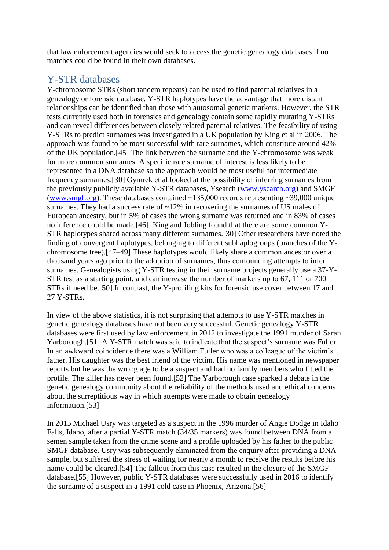that law enforcement agencies would seek to access the genetic genealogy databases if no matches could be found in their own databases.

### Y-STR databases

Y-chromosome STRs (short tandem repeats) can be used to find paternal relatives in a genealogy or forensic database. Y-STR haplotypes have the advantage that more distant relationships can be identified than those with autosomal genetic markers. However, the STR tests currently used both in forensics and genealogy contain some rapidly mutating Y-STRs and can reveal differences between closely related paternal relatives. The feasibility of using Y-STRs to predict surnames was investigated in a UK population by King et al in 2006. The approach was found to be most successful with rare surnames, which constitute around 42% of the UK population.[45] The link between the surname and the Y-chromosome was weak for more common surnames. A specific rare surname of interest is less likely to be represented in a DNA database so the approach would be most useful for intermediate frequency surnames.[30] Gymrek et al looked at the possibility of inferring surnames from the previously publicly available Y-STR databases, Ysearch [\(www.ysearch.org\)](http://www.ysearch.org/) and SMGF [\(www.smgf.org\)](http://www.smgf.org/). These databases contained ~135,000 records representing ~39,000 unique surnames. They had a success rate of  $\sim$ 12% in recovering the surnames of US males of European ancestry, but in 5% of cases the wrong surname was returned and in 83% of cases no inference could be made.[46]. King and Jobling found that there are some common Y-STR haplotypes shared across many different surnames.[30] Other researchers have noted the finding of convergent haplotypes, belonging to different subhaplogroups (branches of the Ychromosome tree).[47–49] These haplotypes would likely share a common ancestor over a thousand years ago prior to the adoption of surnames, thus confounding attempts to infer surnames. Genealogists using Y-STR testing in their surname projects generally use a 37-Y-STR test as a starting point, and can increase the number of markers up to 67, 111 or 700 STRs if need be.[50] In contrast, the Y-profiling kits for forensic use cover between 17 and 27 Y-STRs.

In view of the above statistics, it is not surprising that attempts to use Y-STR matches in genetic genealogy databases have not been very successful. Genetic genealogy Y-STR databases were first used by law enforcement in 2012 to investigate the 1991 murder of Sarah Yarborough.[51] A Y-STR match was said to indicate that the suspect's surname was Fuller. In an awkward coincidence there was a William Fuller who was a colleague of the victim's father. His daughter was the best friend of the victim. His name was mentioned in newspaper reports but he was the wrong age to be a suspect and had no family members who fitted the profile. The killer has never been found.[52] The Yarborough case sparked a debate in the genetic genealogy community about the reliability of the methods used and ethical concerns about the surreptitious way in which attempts were made to obtain genealogy information.[53]

In 2015 Michael Usry was targeted as a suspect in the 1996 murder of Angie Dodge in Idaho Falls, Idaho, after a partial Y-STR match (34/35 markers) was found between DNA from a semen sample taken from the crime scene and a profile uploaded by his father to the public SMGF database. Usry was subsequently eliminated from the enquiry after providing a DNA sample, but suffered the stress of waiting for nearly a month to receive the results before his name could be cleared.[54] The fallout from this case resulted in the closure of the SMGF database.[55] However, public Y-STR databases were successfully used in 2016 to identify the surname of a suspect in a 1991 cold case in Phoenix, Arizona.[56]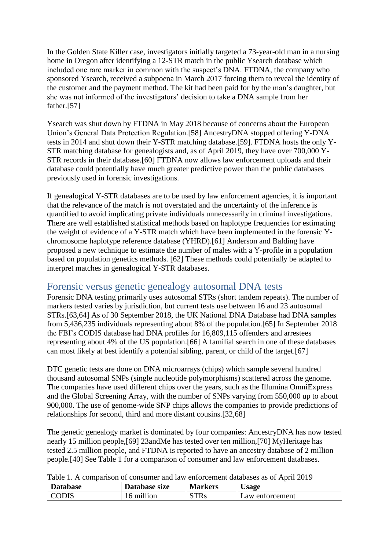In the Golden State Killer case, investigators initially targeted a 73-year-old man in a nursing home in Oregon after identifying a 12-STR match in the public Ysearch database which included one rare marker in common with the suspect's DNA. FTDNA, the company who sponsored Ysearch, received a subpoena in March 2017 forcing them to reveal the identity of the customer and the payment method. The kit had been paid for by the man's daughter, but she was not informed of the investigators' decision to take a DNA sample from her father.[57]

Ysearch was shut down by FTDNA in May 2018 because of concerns about the European Union's General Data Protection Regulation.[58] AncestryDNA stopped offering Y-DNA tests in 2014 and shut down their Y-STR matching database.[59]. FTDNA hosts the only Y-STR matching database for genealogists and, as of April 2019, they have over 700,000 Y-STR records in their database.[60] FTDNA now allows law enforcement uploads and their database could potentially have much greater predictive power than the public databases previously used in forensic investigations.

If genealogical Y-STR databases are to be used by law enforcement agencies, it is important that the relevance of the match is not overstated and the uncertainty of the inference is quantified to avoid implicating private individuals unnecessarily in criminal investigations. There are well established statistical methods based on haplotype frequencies for estimating the weight of evidence of a Y-STR match which have been implemented in the forensic Ychromosome haplotype reference database (YHRD).[61] Anderson and Balding have proposed a new technique to estimate the number of males with a Y-profile in a population based on population genetics methods. [62] These methods could potentially be adapted to interpret matches in genealogical Y-STR databases.

#### Forensic versus genetic genealogy autosomal DNA tests

Forensic DNA testing primarily uses autosomal STRs (short tandem repeats). The number of markers tested varies by jurisdiction, but current tests use between 16 and 23 autosomal STRs.[63,64] As of 30 September 2018, the UK National DNA Database had DNA samples from 5,436,235 individuals representing about 8% of the population.[65] In September 2018 the FBI's CODIS database had DNA profiles for 16,809,115 offenders and arrestees representing about 4% of the US population.[66] A familial search in one of these databases can most likely at best identify a potential sibling, parent, or child of the target.[67]

DTC genetic tests are done on DNA microarrays (chips) which sample several hundred thousand autosomal SNPs (single nucleotide polymorphisms) scattered across the genome. The companies have used different chips over the years, such as the Illumina OmniExpress and the Global Screening Array, with the number of SNPs varying from 550,000 up to about 900,000. The use of genome-wide SNP chips allows the companies to provide predictions of relationships for second, third and more distant cousins.[32,68]

The genetic genealogy market is dominated by four companies: AncestryDNA has now tested nearly 15 million people,[69] 23andMe has tested over ten million,[70] MyHeritage has tested 2.5 million people, and FTDNA is reported to have an ancestry database of 2 million people.[40] See Table 1 for a comparison of consumer and law enforcement databases.

| <b>Database</b> | Database size | <b>Markers</b> | <b>Usage</b>    |
|-----------------|---------------|----------------|-----------------|
| <b>CODIS</b>    | 16 million    | <b>STRs</b>    | Law enforcement |

Table 1. A comparison of consumer and law enforcement databases as of April 2019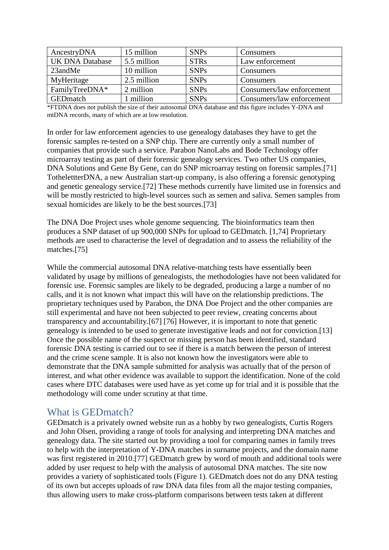| AncestryDNA            | 15 million  | <b>SNPs</b> | Consumers                 |
|------------------------|-------------|-------------|---------------------------|
| <b>UK DNA Database</b> | 5.5 million | <b>STRs</b> | Law enforcement           |
| 23andMe                | 10 million  | <b>SNPs</b> | Consumers                 |
| MyHeritage             | 2.5 million | <b>SNPs</b> | Consumers                 |
| FamilyTreeDNA*         | 2 million   | <b>SNPs</b> | Consumers/law enforcement |
| <b>GED</b> match       | million     | <b>SNPs</b> | Consumers/law enforcement |

\*FTDNA does not publish the size of their autosomal DNA database and this figure includes Y-DNA and mtDNA records, many of which are at low resolution.

In order for law enforcement agencies to use genealogy databases they have to get the forensic samples re-tested on a SNP chip. There are currently only a small number of companies that provide such a service. Parabon NanoLabs and Bode Technology offer microarray testing as part of their forensic genealogy services. Two other US companies, DNA Solutions and Gene By Gene, can do SNP microarray testing on forensic samples.[71] TothelettterDNA, a new Australian start-up company, is also offering a forensic genotyping and genetic genealogy service.[72] These methods currently have limited use in forensics and will be mostly restricted to high-level sources such as semen and saliva. Semen samples from sexual homicides are likely to be the best sources.[73]

The DNA Doe Project uses whole genome sequencing. The bioinformatics team then produces a SNP dataset of up 900,000 SNPs for upload to GEDmatch. [1,74] Proprietary methods are used to characterise the level of degradation and to assess the reliability of the matches.[75]

While the commercial autosomal DNA relative-matching tests have essentially been validated by usage by millions of genealogists, the methodologies have not been validated for forensic use. Forensic samples are likely to be degraded, producing a large a number of no calls, and it is not known what impact this will have on the relationship predictions. The proprietary techniques used by Parabon, the DNA Doe Project and the other companies are still experimental and have not been subjected to peer review, creating concerns about transparency and accountability.[67] [76] However, it is important to note that genetic genealogy is intended to be used to generate investigative leads and not for conviction.[13] Once the possible name of the suspect or missing person has been identified, standard forensic DNA testing is carried out to see if there is a match between the person of interest and the crime scene sample. It is also not known how the investigators were able to demonstrate that the DNA sample submitted for analysis was actually that of the person of interest, and what other evidence was available to support the identification. None of the cold cases where DTC databases were used have as yet come up for trial and it is possible that the methodology will come under scrutiny at that time.

#### What is GEDmatch?

GEDmatch is a privately owned website run as a hobby by two genealogists, Curtis Rogers and John Olsen, providing a range of tools for analysing and interpreting DNA matches and genealogy data. The site started out by providing a tool for comparing names in family trees to help with the interpretation of Y-DNA matches in surname projects, and the domain name was first registered in 2010.[77] GEDmatch grew by word of mouth and additional tools were added by user request to help with the analysis of autosomal DNA matches. The site now provides a variety of sophisticated tools (Figure 1). GEDmatch does not do any DNA testing of its own but accepts uploads of raw DNA data files from all the major testing companies, thus allowing users to make cross-platform comparisons between tests taken at different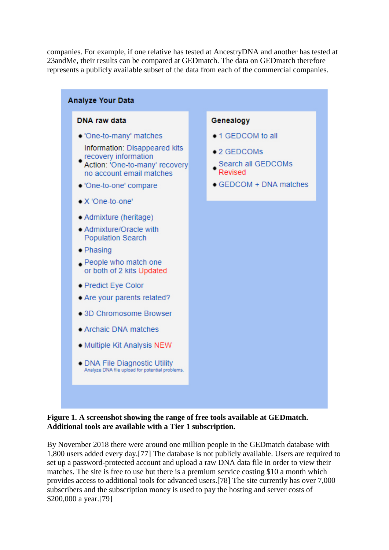companies. For example, if one relative has tested at AncestryDNA and another has tested at 23andMe, their results can be compared at GEDmatch. The data on GEDmatch therefore represents a publicly available subset of the data from each of the commercial companies.



#### **Figure 1. A screenshot showing the range of free tools available at GEDmatch. Additional tools are available with a Tier 1 subscription.**

By November 2018 there were around one million people in the GEDmatch database with 1,800 users added every day.[77] The database is not publicly available. Users are required to set up a password-protected account and upload a raw DNA data file in order to view their matches. The site is free to use but there is a premium service costing \$10 a month which provides access to additional tools for advanced users.[78] The site currently has over 7,000 subscribers and the subscription money is used to pay the hosting and server costs of \$200,000 a year.[79]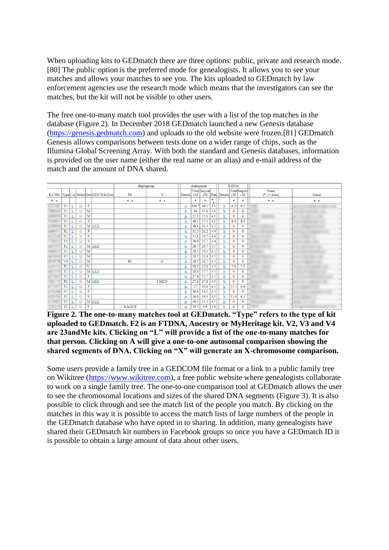When uploading kits to GEDmatch there are three options: public, private and research mode. [80] The public option is the preferred mode for genealogists. It allows you to see your matches and allows your matches to see you. The kits uploaded to GEDmatch by law enforcement agencies use the research mode which means that the investigators can see the matches, but the kit will not be visible to other users.

The free one-to-many match tool provides the user with a list of the top matches in the database (Figure 2). In December 2018 GEDmatch launched a new Genesis database [\(https://genesis.gedmatch.com\)](https://genesis.gedmatch.com/) and uploads to the old website were frozen.[81] GEDmatch Genesis allows comparisons between tests done on a wider range of chips, such as the Illumina Global Screening Array. With both the standard and Genesis databases, information is provided on the user name (either the real name or an alias) and e-mail address of the match and the amount of DNA shared.

|     |                |   |        |                         |                                            |         | Haplogroup  | Autosomal    |       |               | X-DNA |                         |              |               |                 |       |
|-----|----------------|---|--------|-------------------------|--------------------------------------------|---------|-------------|--------------|-------|---------------|-------|-------------------------|--------------|---------------|-----------------|-------|
|     |                |   |        |                         |                                            |         |             |              |       | Total largest |       |                         |              | Total largest | Name            |       |
|     |                |   |        |                         | Kit Nbr  Type List Select Sex GED/WikiTree | Mt      | Y           | Details cM   |       |               |       | cM Gen Details cM       |              | cM            | $(*)$ => alias) | Email |
| V A |                |   |        |                         |                                            | $V = A$ | $V = A$     |              | ÷     | $\mathbf{r}$  | v     |                         | v            | $\mathbf{v}$  | V-A             | V A   |
|     | F2             |   | Œ      | $\mathbf F$             |                                            |         |             | $\Delta$     | 106.7 | 49.5          | 3.5   | $\mathbf x$             | 6.2          | 6.2           |                 |       |
|     | F2             | L | Œ      | M                       |                                            |         |             | $\bf{A}$     | 96    | 47.6          | 3.6   | $\mathbf x$             | $\mathbf 0$  | $\mathbf{0}$  |                 |       |
|     | F <sub>2</sub> |   | $\Box$ | M                       |                                            |         |             | $\Delta$     | 52.3  | 25.0          | 4.1   | X                       | $\mathbf{0}$ | $\mathbf{0}$  |                 |       |
|     | F <sub>2</sub> | L | $\Box$ | F                       |                                            |         |             | $\bf{A}$     | 46.5  | 27.4          | 4.1   | $\mathbf x$             | 6.9          | 6.9           |                 |       |
|     | F <sub>2</sub> |   | $\Box$ | M                       | <b>GED</b>                                 |         |             | $\Delta$     | 40.1  | 21.3          | 4.2   | x                       | $\mathbf{0}$ | $\mathbf{0}$  |                 |       |
|     | F <sub>2</sub> |   | Œ      | F                       |                                            |         |             | $\bf{A}$     | 31.5  | 21.2          | 4.4   | $\mathbf x$             | $\mathbf{0}$ | $\mathbf{0}$  |                 |       |
|     | F <sub>2</sub> |   | $\Box$ | F                       |                                            |         |             | $\Delta$     | 31.1  | 20.7          | 4.4   | x                       | $\mathbf{0}$ | $\mathbf{0}$  |                 |       |
|     | F <sub>2</sub> |   | Œ      | F                       |                                            |         |             | $\bf{A}$     | 30.9  | 25.7          | 4.4   | $\mathbf x$             | $\mathbf{0}$ | $\mathbf{0}$  |                 |       |
|     | F2             |   | $\Box$ |                         | M GED                                      |         |             | $\bf{A}$     | 29.7  | 29.7          | 4.5   | $\overline{\mathbf{x}}$ | $\mathbf{0}$ | $\mathbf{0}$  |                 |       |
|     | F <sub>2</sub> |   | $\Box$ | $\mathbf{M}$            |                                            |         |             | $\mathbf A$  | 29.3  | 29.3          | 4.5   | $\mathbf x$             | $\mathbf{0}$ | $\mathbf{0}$  |                 |       |
|     | F <sub>2</sub> |   | $\Box$ | M                       |                                            |         |             | $\Delta$     | 28.7  | 15.8          | 4.5   | $\overline{\mathbf{x}}$ | $\mathbf{0}$ | $\mathbf{0}$  |                 |       |
|     | V <sub>4</sub> |   | $\Box$ | $\mathbf{M}$            |                                            | H3      | $_{\rm II}$ | $\mathbf A$  | 28.7  | 28.7          | 4.5   | $\mathbf x$             | $\mathbf{0}$ | $\mathbf{O}$  |                 |       |
|     | F <sub>2</sub> | L | $\Box$ | $\overline{\mathbf{U}}$ |                                            |         |             | $\mathbf{A}$ | 28.5  | 22.6          | 4.5   | x                       | 7.3          | 7.3           |                 |       |
|     | F <sub>2</sub> |   | Œ      |                         | M GED                                      |         |             | $\mathbf A$  | 28.1  | 17.7          | 4.5   | x                       | $\mathbf 0$  | $\mathbf{0}$  |                 |       |
|     | F2             | L | $\Box$ | F                       |                                            |         |             | $\mathbf{A}$ | 27.9  | 15.7          | 4.5   | x                       | $\mathbf{0}$ | $\mathbf{0}$  |                 |       |
|     | F <sub>2</sub> |   | $\Box$ |                         | M GED                                      |         | I-M253      | А            | 27.6  | 27.6          | 4.5   | x                       | $\mathbf 0$  | $\mathbf{0}$  |                 |       |
|     | F2             |   | Œ      | F                       |                                            |         |             | $\bf{A}$     | 27    | 16.8          | 4.5   | x                       | 11.5         | 6.4           |                 |       |
|     | F <sub>2</sub> |   | $\Box$ | F                       |                                            |         |             | А            | 26.9  | 14.2          | 4.5   | x                       | $\mathbf 0$  | $\mathbf{0}$  |                 |       |
|     | F <sub>2</sub> | ╩ | C      | F                       |                                            |         |             | $\bf{A}$     | 26.8  | 19.4          | 4.5   | x                       | 11.9         | 6.1           |                 |       |
|     | F <sub>2</sub> |   | $\Box$ |                         | M GED                                      |         |             | Α            | 26.3  | 11.3          | 4.5   | x                       | $\mathbf 0$  | $\mathbf{0}$  |                 |       |
|     | F <sub>2</sub> | Ŀ | C      | F                       |                                            | Klalblf |             | А            | 29.3  | 9.9           | 4.6   | x                       | $\mathbf{0}$ | $\mathbf{0}$  |                 |       |

**Figure 2. The one-to-many matches tool at GEDmatch. "Type" refers to the type of kit uploaded to GEDmatch. F2 is an FTDNA, Ancestry or MyHeritage kit. V2, V3 and V4 are 23andMe kits. Clicking on "L" will provide a list of the one-to-many matches for that person. Clicking on A will give a one-to-one autosomal comparison showing the shared segments of DNA. Clicking on "X" will generate an X-chromosome comparison.**

Some users provide a family tree in a GEDCOM file format or a link to a public family tree on Wikitree [\(https://www.wikitree.com\)](https://www.wikitree.com/), a free public website where genealogists collaborate to work on a single family tree. The one-to-one comparison tool at GEDmatch allows the user to see the chromosomal locations and sizes of the shared DNA segments (Figure 3). It is also possible to click through and see the match list of the people you match. By clicking on the matches in this way it is possible to access the match lists of large numbers of the people in the GEDmatch database who have opted in to sharing. In addition, many genealogists have shared their GEDmatch kit numbers in Facebook groups so once you have a GEDmatch ID it is possible to obtain a large amount of data about other users.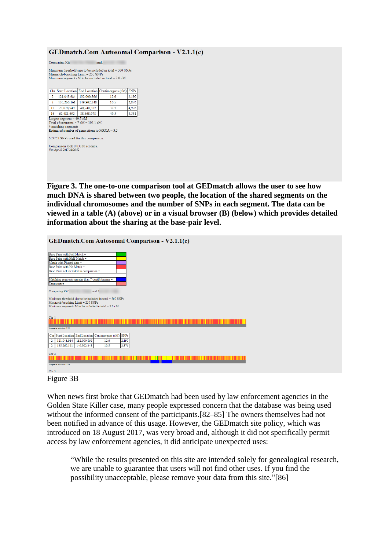#### **GEDmatch.Com Autosomal Comparison - V2.1.1(c)**

| Chr Start Location End Location Centimorgans (cM) |      | <b>SNPs</b> |
|---------------------------------------------------|------|-------------|
| 132.000.866<br>121.043.984<br>2                   | 12.6 | 2,190       |
| 149,902,248<br>135,260,161<br>2                   | 10.5 | 2,876       |
| 13<br>23,878,949<br>40,940,382                    | 32.5 | 4,976       |
| 88,668,978<br>62.481.692<br>16                    | 49.5 | 8,531       |

Comparison took 0.03186 seconds<br>Ver: Apr 23 2017 21:26:52

**Figure 3. The one-to-one comparison tool at GEDmatch allows the user to see how much DNA is shared between two people, the location of the shared segments on the individual chromosomes and the number of SNPs in each segment. The data can be viewed in a table (A) (above) or in a visual browser (B) (below) which provides detailed information about the sharing at the base-pair level.**

**GEDmatch.Com Autosomal Comparison - V2.1.1(c)** 

| Base Pairs with Full Match =                                  |  |
|---------------------------------------------------------------|--|
| Base Pairs with Half Match =                                  |  |
| Match with Phased data -                                      |  |
| Base Pairs with No Match =                                    |  |
| Base Pairs not included in comparison =                       |  |
|                                                               |  |
| Matching segments greater than 7 centiMorgans =               |  |
| Centromere                                                    |  |
| Comparing Kit <sup>*</sup><br>and $\angle$                    |  |
|                                                               |  |
| Minimum threshold size to be included in total = $500$ SNPs   |  |
| Mismatch-bunching Limit = 250 SNPs                            |  |
| Minimum segment $cM$ to be included in total = 7.0 $cM$       |  |
|                                                               |  |
| Chr <sub>1</sub>                                              |  |
|                                                               |  |
|                                                               |  |
| Image size reduction: 1/55                                    |  |
| Chr                                                           |  |
| Start Location End Location Centimorgans (cM) SNPs            |  |
| 121,043,984<br>132,000,866<br>2,190<br>12.6<br>$\overline{2}$ |  |
| 135,260,161<br>149,902,248<br>10.5<br>2,876<br>$\overline{2}$ |  |
|                                                               |  |
| Chr <sub>2</sub>                                              |  |
|                                                               |  |
| Image size reduction: 1/54                                    |  |
|                                                               |  |
| Chr <sub>3</sub>                                              |  |



When news first broke that GEDmatch had been used by law enforcement agencies in the Golden State Killer case, many people expressed concern that the database was being used without the informed consent of the participants.[82–85] The owners themselves had not been notified in advance of this usage. However, the GEDmatch site policy, which was introduced on 18 August 2017, was very broad and, although it did not specifically permit access by law enforcement agencies, it did anticipate unexpected uses:

"While the results presented on this site are intended solely for genealogical research, we are unable to guarantee that users will not find other uses. If you find the possibility unacceptable, please remove your data from this site."[86]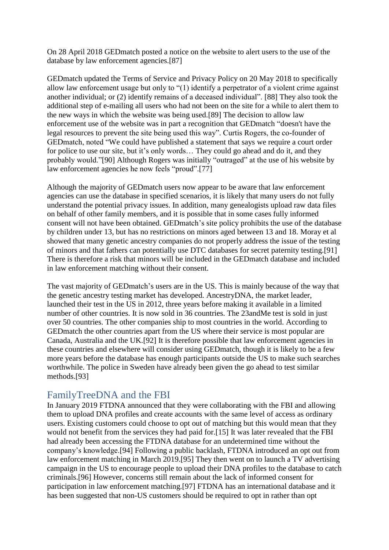On 28 April 2018 GEDmatch posted a notice on the website to alert users to the use of the database by law enforcement agencies.[87]

GEDmatch updated the Terms of Service and Privacy Policy on 20 May 2018 to specifically allow law enforcement usage but only to "(1) identify a perpetrator of a violent crime against another individual; or (2) identify remains of a deceased individual". [88] They also took the additional step of e-mailing all users who had not been on the site for a while to alert them to the new ways in which the website was being used.[89] The decision to allow law enforcement use of the website was in part a recognition that GEDmatch "doesn't have the legal resources to prevent the site being used this way". Curtis Rogers, the co-founder of GEDmatch, noted "We could have published a statement that says we require a court order for police to use our site, but it's only words… They could go ahead and do it, and they probably would."[90] Although Rogers was initially "outraged" at the use of his website by law enforcement agencies he now feels "proud".[77]

Although the majority of GEDmatch users now appear to be aware that law enforcement agencies can use the database in specified scenarios, it is likely that many users do not fully understand the potential privacy issues. In addition, many genealogists upload raw data files on behalf of other family members, and it is possible that in some cases fully informed consent will not have been obtained. GEDmatch's site policy prohibits the use of the database by children under 13, but has no restrictions on minors aged between 13 and 18. Moray et al showed that many genetic ancestry companies do not properly address the issue of the testing of minors and that fathers can potentially use DTC databases for secret paternity testing.[91] There is therefore a risk that minors will be included in the GEDmatch database and included in law enforcement matching without their consent.

The vast majority of GEDmatch's users are in the US. This is mainly because of the way that the genetic ancestry testing market has developed. AncestryDNA, the market leader, launched their test in the US in 2012, three years before making it available in a limited number of other countries. It is now sold in 36 countries. The 23andMe test is sold in just over 50 countries. The other companies ship to most countries in the world. According to GEDmatch the other countries apart from the US where their service is most popular are Canada, Australia and the UK.[92] It is therefore possible that law enforcement agencies in these countries and elsewhere will consider using GEDmatch, though it is likely to be a few more years before the database has enough participants outside the US to make such searches worthwhile. The police in Sweden have already been given the go ahead to test similar methods.[93]

#### FamilyTreeDNA and the FBI

In January 2019 FTDNA announced that they were collaborating with the FBI and allowing them to upload DNA profiles and create accounts with the same level of access as ordinary users. Existing customers could choose to opt out of matching but this would mean that they would not benefit from the services they had paid for.[15] It was later revealed that the FBI had already been accessing the FTDNA database for an undetermined time without the company's knowledge.[94] Following a public backlash, FTDNA introduced an opt out from law enforcement matching in March 2019.[95] They then went on to launch a TV advertising campaign in the US to encourage people to upload their DNA profiles to the database to catch criminals.[96] However, concerns still remain about the lack of informed consent for participation in law enforcement matching.[97] FTDNA has an international database and it has been suggested that non-US customers should be required to opt in rather than opt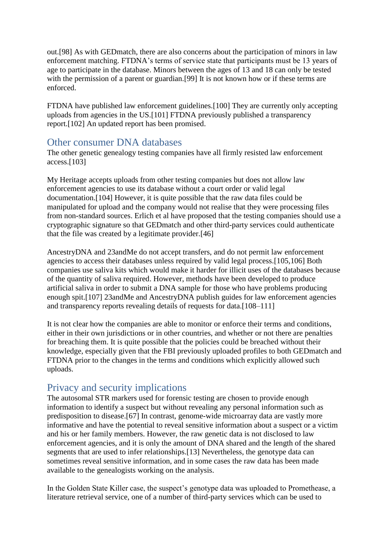out.[98] As with GEDmatch, there are also concerns about the participation of minors in law enforcement matching. FTDNA's terms of service state that participants must be 13 years of age to participate in the database. Minors between the ages of 13 and 18 can only be tested with the permission of a parent or guardian.<sup>[99]</sup> It is not known how or if these terms are enforced.

FTDNA have published law enforcement guidelines.[100] They are currently only accepting uploads from agencies in the US.[101] FTDNA previously published a transparency report.[102] An updated report has been promised.

#### Other consumer DNA databases

The other genetic genealogy testing companies have all firmly resisted law enforcement access.[103]

My Heritage accepts uploads from other testing companies but does not allow law enforcement agencies to use its database without a court order or valid legal documentation.[104] However, it is quite possible that the raw data files could be manipulated for upload and the company would not realise that they were processing files from non-standard sources. Erlich et al have proposed that the testing companies should use a cryptographic signature so that GEDmatch and other third-party services could authenticate that the file was created by a legitimate provider.[46]

AncestryDNA and 23andMe do not accept transfers, and do not permit law enforcement agencies to access their databases unless required by valid legal process.[105,106] Both companies use saliva kits which would make it harder for illicit uses of the databases because of the quantity of saliva required. However, methods have been developed to produce artificial saliva in order to submit a DNA sample for those who have problems producing enough spit.[107] 23andMe and AncestryDNA publish guides for law enforcement agencies and transparency reports revealing details of requests for data.[108–111]

It is not clear how the companies are able to monitor or enforce their terms and conditions, either in their own jurisdictions or in other countries, and whether or not there are penalties for breaching them. It is quite possible that the policies could be breached without their knowledge, especially given that the FBI previously uploaded profiles to both GEDmatch and FTDNA prior to the changes in the terms and conditions which explicitly allowed such uploads.

# Privacy and security implications

The autosomal STR markers used for forensic testing are chosen to provide enough information to identify a suspect but without revealing any personal information such as predisposition to disease.[67] In contrast, genome-wide microarray data are vastly more informative and have the potential to reveal sensitive information about a suspect or a victim and his or her family members. However, the raw genetic data is not disclosed to law enforcement agencies, and it is only the amount of DNA shared and the length of the shared segments that are used to infer relationships.[13] Nevertheless, the genotype data can sometimes reveal sensitive information, and in some cases the raw data has been made available to the genealogists working on the analysis.

In the Golden State Killer case, the suspect's genotype data was uploaded to Promethease, a literature retrieval service, one of a number of third-party services which can be used to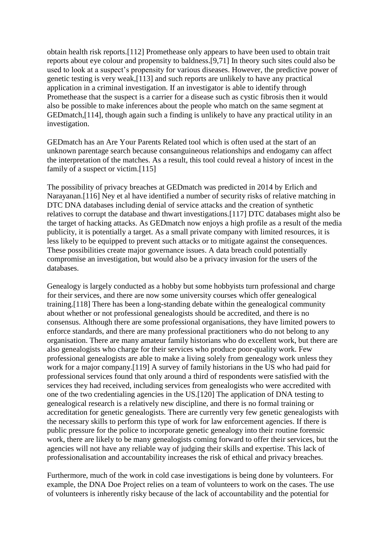obtain health risk reports.[112] Promethease only appears to have been used to obtain trait reports about eye colour and propensity to baldness.[9,71] In theory such sites could also be used to look at a suspect's propensity for various diseases. However, the predictive power of genetic testing is very weak,[113] and such reports are unlikely to have any practical application in a criminal investigation. If an investigator is able to identify through Promethease that the suspect is a carrier for a disease such as cystic fibrosis then it would also be possible to make inferences about the people who match on the same segment at GEDmatch,[114], though again such a finding is unlikely to have any practical utility in an investigation.

GEDmatch has an Are Your Parents Related tool which is often used at the start of an unknown parentage search because consanguineous relationships and endogamy can affect the interpretation of the matches. As a result, this tool could reveal a history of incest in the family of a suspect or victim.[115]

The possibility of privacy breaches at GEDmatch was predicted in 2014 by Erlich and Narayanan.[116] Ney et al have identified a number of security risks of relative matching in DTC DNA databases including denial of service attacks and the creation of synthetic relatives to corrupt the database and thwart investigations.[117] DTC databases might also be the target of hacking attacks. As GEDmatch now enjoys a high profile as a result of the media publicity, it is potentially a target. As a small private company with limited resources, it is less likely to be equipped to prevent such attacks or to mitigate against the consequences. These possibilities create major governance issues. A data breach could potentially compromise an investigation, but would also be a privacy invasion for the users of the databases.

Genealogy is largely conducted as a hobby but some hobbyists turn professional and charge for their services, and there are now some university courses which offer genealogical training.[118] There has been a long-standing debate within the genealogical community about whether or not professional genealogists should be accredited, and there is no consensus. Although there are some professional organisations, they have limited powers to enforce standards, and there are many professional practitioners who do not belong to any organisation. There are many amateur family historians who do excellent work, but there are also genealogists who charge for their services who produce poor-quality work. Few professional genealogists are able to make a living solely from genealogy work unless they work for a major company.[119] A survey of family historians in the US who had paid for professional services found that only around a third of respondents were satisfied with the services they had received, including services from genealogists who were accredited with one of the two credentialing agencies in the US.[120] The application of DNA testing to genealogical research is a relatively new discipline, and there is no formal training or accreditation for genetic genealogists. There are currently very few genetic genealogists with the necessary skills to perform this type of work for law enforcement agencies. If there is public pressure for the police to incorporate genetic genealogy into their routine forensic work, there are likely to be many genealogists coming forward to offer their services, but the agencies will not have any reliable way of judging their skills and expertise. This lack of professionalisation and accountability increases the risk of ethical and privacy breaches.

Furthermore, much of the work in cold case investigations is being done by volunteers. For example, the DNA Doe Project relies on a team of volunteers to work on the cases. The use of volunteers is inherently risky because of the lack of accountability and the potential for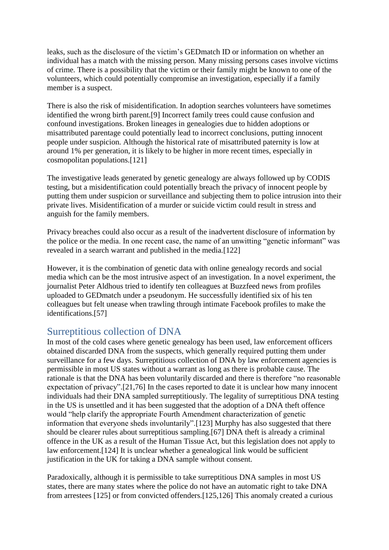leaks, such as the disclosure of the victim's GEDmatch ID or information on whether an individual has a match with the missing person. Many missing persons cases involve victims of crime. There is a possibility that the victim or their family might be known to one of the volunteers, which could potentially compromise an investigation, especially if a family member is a suspect.

There is also the risk of misidentification. In adoption searches volunteers have sometimes identified the wrong birth parent.[9] Incorrect family trees could cause confusion and confound investigations. Broken lineages in genealogies due to hidden adoptions or misattributed parentage could potentially lead to incorrect conclusions, putting innocent people under suspicion. Although the historical rate of misattributed paternity is low at around 1% per generation, it is likely to be higher in more recent times, especially in cosmopolitan populations.[121]

The investigative leads generated by genetic genealogy are always followed up by CODIS testing, but a misidentification could potentially breach the privacy of innocent people by putting them under suspicion or surveillance and subjecting them to police intrusion into their private lives. Misidentification of a murder or suicide victim could result in stress and anguish for the family members.

Privacy breaches could also occur as a result of the inadvertent disclosure of information by the police or the media. In one recent case, the name of an unwitting "genetic informant" was revealed in a search warrant and published in the media.[122]

However, it is the combination of genetic data with online genealogy records and social media which can be the most intrusive aspect of an investigation. In a novel experiment, the journalist Peter Aldhous tried to identify ten colleagues at Buzzfeed news from profiles uploaded to GEDmatch under a pseudonym. He successfully identified six of his ten colleagues but felt unease when trawling through intimate Facebook profiles to make the identifications.[57]

#### Surreptitious collection of DNA

In most of the cold cases where genetic genealogy has been used, law enforcement officers obtained discarded DNA from the suspects, which generally required putting them under surveillance for a few days. Surreptitious collection of DNA by law enforcement agencies is permissible in most US states without a warrant as long as there is probable cause. The rationale is that the DNA has been voluntarily discarded and there is therefore "no reasonable expectation of privacy".[21,76] In the cases reported to date it is unclear how many innocent individuals had their DNA sampled surreptitiously. The legality of surreptitious DNA testing in the US is unsettled and it has been suggested that the adoption of a DNA theft offence would "help clarify the appropriate Fourth Amendment characterization of genetic information that everyone sheds involuntarily".[123] Murphy has also suggested that there should be clearer rules about surreptitious sampling.[67] DNA theft is already a criminal offence in the UK as a result of the Human Tissue Act, but this legislation does not apply to law enforcement.[124] It is unclear whether a genealogical link would be sufficient justification in the UK for taking a DNA sample without consent.

Paradoxically, although it is permissible to take surreptitious DNA samples in most US states, there are many states where the police do not have an automatic right to take DNA from arrestees [125] or from convicted offenders.[125,126] This anomaly created a curious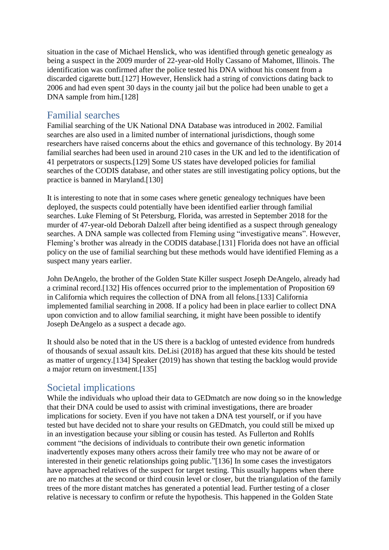situation in the case of Michael Henslick, who was identified through genetic genealogy as being a suspect in the 2009 murder of 22-year-old Holly Cassano of Mahomet, Illinois. The identification was confirmed after the police tested his DNA without his consent from a discarded cigarette butt.[127] However, Henslick had a string of convictions dating back to 2006 and had even spent 30 days in the county jail but the police had been unable to get a DNA sample from him.[128]

#### Familial searches

Familial searching of the UK National DNA Database was introduced in 2002. Familial searches are also used in a limited number of international jurisdictions, though some researchers have raised concerns about the ethics and governance of this technology. By 2014 familial searches had been used in around 210 cases in the UK and led to the identification of 41 perpetrators or suspects.[129] Some US states have developed policies for familial searches of the CODIS database, and other states are still investigating policy options, but the practice is banned in Maryland.[130]

It is interesting to note that in some cases where genetic genealogy techniques have been deployed, the suspects could potentially have been identified earlier through familial searches. Luke Fleming of St Petersburg, Florida, was arrested in September 2018 for the murder of 47-year-old Deborah Dalzell after being identified as a suspect through genealogy searches. A DNA sample was collected from Fleming using "investigative means". However, Fleming's brother was already in the CODIS database.[131] Florida does not have an official policy on the use of familial searching but these methods would have identified Fleming as a suspect many years earlier.

John DeAngelo, the brother of the Golden State Killer suspect Joseph DeAngelo, already had a criminal record.[132] His offences occurred prior to the implementation of Proposition 69 in California which requires the collection of DNA from all felons.[133] California implemented familial searching in 2008. If a policy had been in place earlier to collect DNA upon conviction and to allow familial searching, it might have been possible to identify Joseph DeAngelo as a suspect a decade ago.

It should also be noted that in the US there is a backlog of untested evidence from hundreds of thousands of sexual assault kits. DeLisi (2018) has argued that these kits should be tested as matter of urgency.[134] Speaker (2019) has shown that testing the backlog would provide a major return on investment.[135]

# Societal implications

While the individuals who upload their data to GEDmatch are now doing so in the knowledge that their DNA could be used to assist with criminal investigations, there are broader implications for society. Even if you have not taken a DNA test yourself, or if you have tested but have decided not to share your results on GEDmatch, you could still be mixed up in an investigation because your sibling or cousin has tested. As Fullerton and Rohlfs comment "the decisions of individuals to contribute their own genetic information inadvertently exposes many others across their family tree who may not be aware of or interested in their genetic relationships going public."[136] In some cases the investigators have approached relatives of the suspect for target testing. This usually happens when there are no matches at the second or third cousin level or closer, but the triangulation of the family trees of the more distant matches has generated a potential lead. Further testing of a closer relative is necessary to confirm or refute the hypothesis. This happened in the Golden State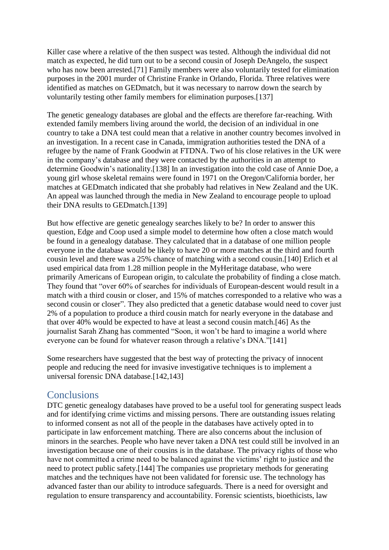Killer case where a relative of the then suspect was tested. Although the individual did not match as expected, he did turn out to be a second cousin of Joseph DeAngelo, the suspect who has now been arrested.[71] Family members were also voluntarily tested for elimination purposes in the 2001 murder of Christine Franke in Orlando, Florida. Three relatives were identified as matches on GEDmatch, but it was necessary to narrow down the search by voluntarily testing other family members for elimination purposes.[137]

The genetic genealogy databases are global and the effects are therefore far-reaching. With extended family members living around the world, the decision of an individual in one country to take a DNA test could mean that a relative in another country becomes involved in an investigation. In a recent case in Canada, immigration authorities tested the DNA of a refugee by the name of Frank Goodwin at FTDNA. Two of his close relatives in the UK were in the company's database and they were contacted by the authorities in an attempt to determine Goodwin's nationality.[138] In an investigation into the cold case of Annie Doe, a young girl whose skeletal remains were found in 1971 on the Oregon/California border, her matches at GEDmatch indicated that she probably had relatives in New Zealand and the UK. An appeal was launched through the media in New Zealand to encourage people to upload their DNA results to GEDmatch.[139]

But how effective are genetic genealogy searches likely to be? In order to answer this question, Edge and Coop used a simple model to determine how often a close match would be found in a genealogy database. They calculated that in a database of one million people everyone in the database would be likely to have 20 or more matches at the third and fourth cousin level and there was a 25% chance of matching with a second cousin.[140] Erlich et al used empirical data from 1.28 million people in the MyHeritage database, who were primarily Americans of European origin, to calculate the probability of finding a close match. They found that "over 60% of searches for individuals of European-descent would result in a match with a third cousin or closer, and 15% of matches corresponded to a relative who was a second cousin or closer". They also predicted that a genetic database would need to cover just 2% of a population to produce a third cousin match for nearly everyone in the database and that over 40% would be expected to have at least a second cousin match.[46] As the journalist Sarah Zhang has commented "Soon, it won't be hard to imagine a world where everyone can be found for whatever reason through a relative's DNA."[141]

Some researchers have suggested that the best way of protecting the privacy of innocent people and reducing the need for invasive investigative techniques is to implement a universal forensic DNA database.[142,143]

#### **Conclusions**

DTC genetic genealogy databases have proved to be a useful tool for generating suspect leads and for identifying crime victims and missing persons. There are outstanding issues relating to informed consent as not all of the people in the databases have actively opted in to participate in law enforcement matching. There are also concerns about the inclusion of minors in the searches. People who have never taken a DNA test could still be involved in an investigation because one of their cousins is in the database. The privacy rights of those who have not committed a crime need to be balanced against the victims' right to justice and the need to protect public safety.[144] The companies use proprietary methods for generating matches and the techniques have not been validated for forensic use. The technology has advanced faster than our ability to introduce safeguards. There is a need for oversight and regulation to ensure transparency and accountability. Forensic scientists, bioethicists, law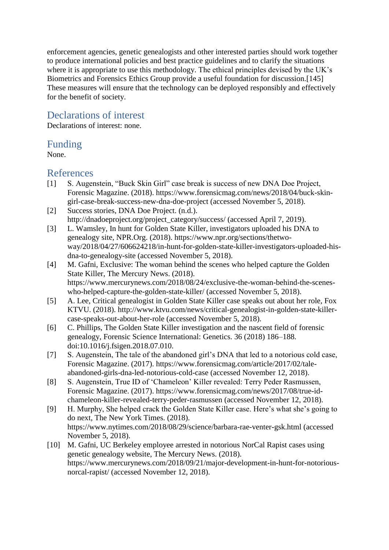enforcement agencies, genetic genealogists and other interested parties should work together to produce international policies and best practice guidelines and to clarify the situations where it is appropriate to use this methodology. The ethical principles devised by the UK's Biometrics and Forensics Ethics Group provide a useful foundation for discussion.[145] These measures will ensure that the technology can be deployed responsibly and effectively for the benefit of society.

#### Declarations of interest

Declarations of interest: none.

#### Funding

None.

#### References

- [1] S. Augenstein, "Buck Skin Girl" case break is success of new DNA Doe Project, Forensic Magazine. (2018). https://www.forensicmag.com/news/2018/04/buck-skingirl-case-break-success-new-dna-doe-project (accessed November 5, 2018).
- [2] Success stories, DNA Doe Project. (n.d.). http://dnadoeproject.org/project\_category/success/ (accessed April 7, 2019).
- [3] L. Wamsley, In hunt for Golden State Killer, investigators uploaded his DNA to genealogy site, NPR.Org. (2018). https://www.npr.org/sections/thetwoway/2018/04/27/606624218/in-hunt-for-golden-state-killer-investigators-uploaded-hisdna-to-genealogy-site (accessed November 5, 2018).
- [4] M. Gafni, Exclusive: The woman behind the scenes who helped capture the Golden State Killer, The Mercury News. (2018). https://www.mercurynews.com/2018/08/24/exclusive-the-woman-behind-the-sceneswho-helped-capture-the-golden-state-killer/ (accessed November 5, 2018).
- [5] A. Lee, Critical genealogist in Golden State Killer case speaks out about her role, Fox KTVU. (2018). http://www.ktvu.com/news/critical-genealogist-in-golden-state-killercase-speaks-out-about-her-role (accessed November 5, 2018).
- [6] C. Phillips, The Golden State Killer investigation and the nascent field of forensic genealogy, Forensic Science International: Genetics. 36 (2018) 186–188. doi:10.1016/j.fsigen.2018.07.010.
- [7] S. Augenstein, The tale of the abandoned girl's DNA that led to a notorious cold case, Forensic Magazine. (2017). https://www.forensicmag.com/article/2017/02/taleabandoned-girls-dna-led-notorious-cold-case (accessed November 12, 2018).
- [8] S. Augenstein, True ID of 'Chameleon' Killer revealed: Terry Peder Rasmussen, Forensic Magazine. (2017). https://www.forensicmag.com/news/2017/08/true-idchameleon-killer-revealed-terry-peder-rasmussen (accessed November 12, 2018).
- [9] H. Murphy, She helped crack the Golden State Killer case. Here's what she's going to do next, The New York Times. (2018). https://www.nytimes.com/2018/08/29/science/barbara-rae-venter-gsk.html (accessed November 5, 2018).
- [10] M. Gafni, UC Berkeley employee arrested in notorious NorCal Rapist cases using genetic genealogy website, The Mercury News. (2018). https://www.mercurynews.com/2018/09/21/major-development-in-hunt-for-notoriousnorcal-rapist/ (accessed November 12, 2018).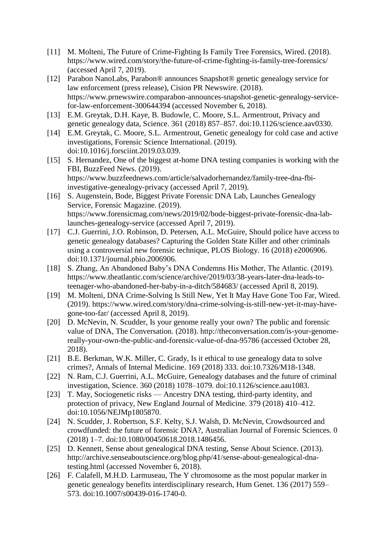- [11] M. Molteni, The Future of Crime-Fighting Is Family Tree Forensics, Wired. (2018). https://www.wired.com/story/the-future-of-crime-fighting-is-family-tree-forensics/ (accessed April 7, 2019).
- [12] Parabon NanoLabs, Parabon® announces Snapshot® genetic genealogy service for law enforcement (press release), Cision PR Newswire. (2018). https://www.prnewswire.comparabon-announces-snapshot-genetic-genealogy-servicefor-law-enforcement-300644394 (accessed November 6, 2018).
- [13] E.M. Greytak, D.H. Kaye, B. Budowle, C. Moore, S.L. Armentrout, Privacy and genetic genealogy data, Science. 361 (2018) 857–857. doi:10.1126/science.aav0330.
- [14] E.M. Greytak, C. Moore, S.L. Armentrout, Genetic genealogy for cold case and active investigations, Forensic Science International. (2019). doi:10.1016/j.forsciint.2019.03.039.
- [15] S. Hernandez, One of the biggest at-home DNA testing companies is working with the FBI, BuzzFeed News. (2019). https://www.buzzfeednews.com/article/salvadorhernandez/family-tree-dna-fbiinvestigative-genealogy-privacy (accessed April 7, 2019).
- [16] S. Augenstein, Bode, Biggest Private Forensic DNA Lab, Launches Genealogy Service, Forensic Magazine. (2019). https://www.forensicmag.com/news/2019/02/bode-biggest-private-forensic-dna-lablaunches-genealogy-service (accessed April 7, 2019).
- [17] C.J. Guerrini, J.O. Robinson, D. Petersen, A.L. McGuire, Should police have access to genetic genealogy databases? Capturing the Golden State Killer and other criminals using a controversial new forensic technique, PLOS Biology. 16 (2018) e2006906. doi:10.1371/journal.pbio.2006906.
- [18] S. Zhang, An Abandoned Baby's DNA Condemns His Mother, The Atlantic. (2019). https://www.theatlantic.com/science/archive/2019/03/38-years-later-dna-leads-toteenager-who-abandoned-her-baby-in-a-ditch/584683/ (accessed April 8, 2019).
- [19] M. Molteni, DNA Crime-Solving Is Still New, Yet It May Have Gone Too Far, Wired. (2019). https://www.wired.com/story/dna-crime-solving-is-still-new-yet-it-may-havegone-too-far/ (accessed April 8, 2019).
- [20] D. McNevin, N. Scudder, Is your genome really your own? The public and forensic value of DNA, The Conversation. (2018). http://theconversation.com/is-your-genomereally-your-own-the-public-and-forensic-value-of-dna-95786 (accessed October 28, 2018).
- [21] B.E. Berkman, W.K. Miller, C. Grady, Is it ethical to use genealogy data to solve crimes?, Annals of Internal Medicine. 169 (2018) 333. doi:10.7326/M18-1348.
- [22] N. Ram, C.J. Guerrini, A.L. McGuire, Genealogy databases and the future of criminal investigation, Science. 360 (2018) 1078–1079. doi:10.1126/science.aau1083.
- [23] T. May, Sociogenetic risks Ancestry DNA testing, third-party identity, and protection of privacy, New England Journal of Medicine. 379 (2018) 410–412. doi:10.1056/NEJMp1805870.
- [24] N. Scudder, J. Robertson, S.F. Kelty, S.J. Walsh, D. McNevin, Crowdsourced and crowdfunded: the future of forensic DNA?, Australian Journal of Forensic Sciences. 0 (2018) 1–7. doi:10.1080/00450618.2018.1486456.
- [25] D. Kennett, Sense about genealogical DNA testing, Sense About Science. (2013). http://archive.senseaboutscience.org/blog.php/41/sense-about-genealogical-dnatesting.html (accessed November 6, 2018).
- [26] F. Calafell, M.H.D. Larmuseau, The Y chromosome as the most popular marker in genetic genealogy benefits interdisciplinary research, Hum Genet. 136 (2017) 559– 573. doi:10.1007/s00439-016-1740-0.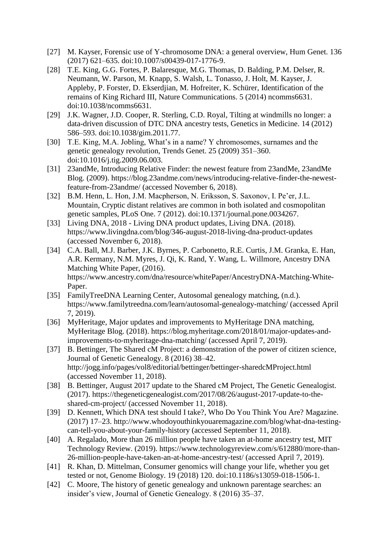- [27] M. Kayser, Forensic use of Y-chromosome DNA: a general overview, Hum Genet. 136 (2017) 621–635. doi:10.1007/s00439-017-1776-9.
- [28] T.E. King, G.G. Fortes, P. Balaresque, M.G. Thomas, D. Balding, P.M. Delser, R. Neumann, W. Parson, M. Knapp, S. Walsh, L. Tonasso, J. Holt, M. Kayser, J. Appleby, P. Forster, D. Ekserdjian, M. Hofreiter, K. Schürer, Identification of the remains of King Richard III, Nature Communications. 5 (2014) ncomms6631. doi:10.1038/ncomms6631.
- [29] J.K. Wagner, J.D. Cooper, R. Sterling, C.D. Royal, Tilting at windmills no longer: a data-driven discussion of DTC DNA ancestry tests, Genetics in Medicine. 14 (2012) 586–593. doi:10.1038/gim.2011.77.
- [30] T.E. King, M.A. Jobling, What's in a name? Y chromosomes, surnames and the genetic genealogy revolution, Trends Genet. 25 (2009) 351–360. doi:10.1016/j.tig.2009.06.003.
- [31] 23andMe, Introducing Relative Finder: the newest feature from 23andMe, 23andMe Blog. (2009). https://blog.23andme.com/news/introducing-relative-finder-the-newestfeature-from-23andme/ (accessed November 6, 2018).
- [32] B.M. Henn, L. Hon, J.M. Macpherson, N. Eriksson, S. Saxonov, I. Pe'er, J.L. Mountain, Cryptic distant relatives are common in both isolated and cosmopolitan genetic samples, PLoS One. 7 (2012). doi:10.1371/journal.pone.0034267.
- [33] Living DNA, 2018 Living DNA product updates, Living DNA. (2018). https://www.livingdna.com/blog/346-august-2018-living-dna-product-updates (accessed November 6, 2018).
- [34] C.A. Ball, M.J. Barber, J.K. Byrnes, P. Carbonetto, R.E. Curtis, J.M. Granka, E. Han, A.R. Kermany, N.M. Myres, J. Qi, K. Rand, Y. Wang, L. Willmore, Ancestry DNA Matching White Paper, (2016). https://www.ancestry.com/dna/resource/whitePaper/AncestryDNA-Matching-White-Paper.
- [35] FamilyTreeDNA Learning Center, Autosomal genealogy matching, (n.d.). https://www.familytreedna.com/learn/autosomal-genealogy-matching/ (accessed April 7, 2019).
- [36] MyHeritage, Major updates and improvements to MyHeritage DNA matching, MyHeritage Blog. (2018). https://blog.myheritage.com/2018/01/major-updates-andimprovements-to-myheritage-dna-matching/ (accessed April 7, 2019).
- [37] B. Bettinger, The Shared cM Project: a demonstration of the power of citizen science, Journal of Genetic Genealogy. 8 (2016) 38–42. http://jogg.info/pages/vol8/editorial/bettinger/bettinger-sharedcMProject.html (accessed November 11, 2018).
- [38] B. Bettinger, August 2017 update to the Shared cM Project, The Genetic Genealogist. (2017). https://thegeneticgenealogist.com/2017/08/26/august-2017-update-to-theshared-cm-project/ (accessed November 11, 2018).
- [39] D. Kennett, Which DNA test should I take?, Who Do You Think You Are? Magazine. (2017) 17–23. http://www.whodoyouthinkyouaremagazine.com/blog/what-dna-testingcan-tell-you-about-your-family-history (accessed September 11, 2018).
- [40] A. Regalado, More than 26 million people have taken an at-home ancestry test, MIT Technology Review. (2019). https://www.technologyreview.com/s/612880/more-than-26-million-people-have-taken-an-at-home-ancestry-test/ (accessed April 7, 2019).
- [41] R. Khan, D. Mittelman, Consumer genomics will change your life, whether you get tested or not, Genome Biology. 19 (2018) 120. doi:10.1186/s13059-018-1506-1.
- [42] C. Moore, The history of genetic genealogy and unknown parentage searches: an insider's view, Journal of Genetic Genealogy. 8 (2016) 35–37.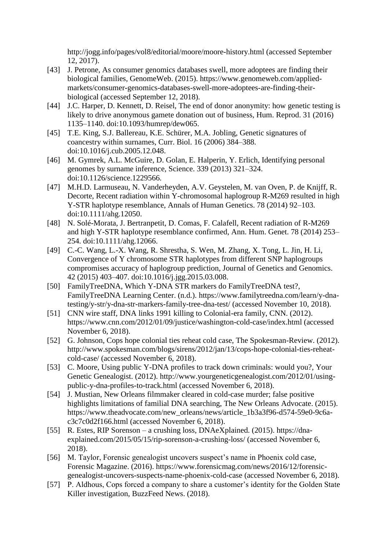http://jogg.info/pages/vol8/editorial/moore/moore-history.html (accessed September 12, 2017).

- [43] J. Petrone, As consumer genomics databases swell, more adoptees are finding their biological families, GenomeWeb. (2015). https://www.genomeweb.com/appliedmarkets/consumer-genomics-databases-swell-more-adoptees-are-finding-theirbiological (accessed September 12, 2018).
- [44] J.C. Harper, D. Kennett, D. Reisel, The end of donor anonymity: how genetic testing is likely to drive anonymous gamete donation out of business, Hum. Reprod. 31 (2016) 1135–1140. doi:10.1093/humrep/dew065.
- [45] T.E. King, S.J. Ballereau, K.E. Schürer, M.A. Jobling, Genetic signatures of coancestry within surnames, Curr. Biol. 16 (2006) 384–388. doi:10.1016/j.cub.2005.12.048.
- [46] M. Gymrek, A.L. McGuire, D. Golan, E. Halperin, Y. Erlich, Identifying personal genomes by surname inference, Science. 339 (2013) 321–324. doi:10.1126/science.1229566.
- [47] M.H.D. Larmuseau, N. Vanderheyden, A.V. Geystelen, M. van Oven, P. de Knijff, R. Decorte, Recent radiation within Y-chromosomal haplogroup R-M269 resulted in high Y-STR haplotype resemblance, Annals of Human Genetics. 78 (2014) 92–103. doi:10.1111/ahg.12050.
- [48] N. Solé-Morata, J. Bertranpetit, D. Comas, F. Calafell, Recent radiation of R-M269 and high Y-STR haplotype resemblance confirmed, Ann. Hum. Genet. 78 (2014) 253– 254. doi:10.1111/ahg.12066.
- [49] C.-C. Wang, L.-X. Wang, R. Shrestha, S. Wen, M. Zhang, X. Tong, L. Jin, H. Li, Convergence of Y chromosome STR haplotypes from different SNP haplogroups compromises accuracy of haplogroup prediction, Journal of Genetics and Genomics. 42 (2015) 403–407. doi:10.1016/j.jgg.2015.03.008.
- [50] FamilyTreeDNA, Which Y-DNA STR markers do FamilyTreeDNA test?, FamilyTreeDNA Learning Center. (n.d.). https://www.familytreedna.com/learn/y-dnatesting/y-str/y-dna-str-markers-family-tree-dna-test/ (accessed November 10, 2018).
- [51] CNN wire staff, DNA links 1991 killing to Colonial-era family, CNN. (2012). https://www.cnn.com/2012/01/09/justice/washington-cold-case/index.html (accessed November 6, 2018).
- [52] G. Johnson, Cops hope colonial ties reheat cold case, The Spokesman-Review. (2012). http://www.spokesman.com/blogs/sirens/2012/jan/13/cops-hope-colonial-ties-reheatcold-case/ (accessed November 6, 2018).
- [53] C. Moore, Using public Y-DNA profiles to track down criminals: would you?, Your Genetic Genealogist. (2012). http://www.yourgeneticgenealogist.com/2012/01/usingpublic-y-dna-profiles-to-track.html (accessed November 6, 2018).
- [54] J. Mustian, New Orleans filmmaker cleared in cold-case murder; false positive highlights limitations of familial DNA searching, The New Orleans Advocate. (2015). https://www.theadvocate.com/new\_orleans/news/article\_1b3a3f96-d574-59e0-9c6ac3c7c0d2f166.html (accessed November 6, 2018).
- [55] R. Estes, RIP Sorenson a crushing loss, DNAeXplained. (2015). https://dnaexplained.com/2015/05/15/rip-sorenson-a-crushing-loss/ (accessed November 6, 2018).
- [56] M. Taylor, Forensic genealogist uncovers suspect's name in Phoenix cold case, Forensic Magazine. (2016). https://www.forensicmag.com/news/2016/12/forensicgenealogist-uncovers-suspects-name-phoenix-cold-case (accessed November 6, 2018).
- [57] P. Aldhous, Cops forced a company to share a customer's identity for the Golden State Killer investigation, BuzzFeed News. (2018).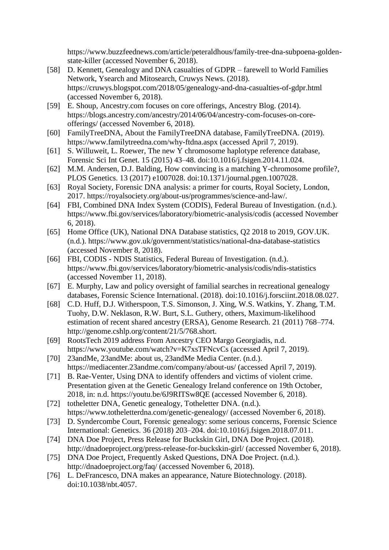https://www.buzzfeednews.com/article/peteraldhous/family-tree-dna-subpoena-goldenstate-killer (accessed November 6, 2018).

- [58] D. Kennett, Genealogy and DNA casualties of GDPR farewell to World Families Network, Ysearch and Mitosearch, Cruwys News. (2018). https://cruwys.blogspot.com/2018/05/genealogy-and-dna-casualties-of-gdpr.html (accessed November 6, 2018).
- [59] E. Shoup, Ancestry.com focuses on core offerings, Ancestry Blog. (2014). https://blogs.ancestry.com/ancestry/2014/06/04/ancestry-com-focuses-on-coreofferings/ (accessed November 6, 2018).
- [60] FamilyTreeDNA, About the FamilyTreeDNA database, FamilyTreeDNA. (2019). https://www.familytreedna.com/why-ftdna.aspx (accessed April 7, 2019).
- [61] S. Willuweit, L. Roewer, The new Y chromosome haplotype reference database, Forensic Sci Int Genet. 15 (2015) 43–48. doi:10.1016/j.fsigen.2014.11.024.
- [62] M.M. Andersen, D.J. Balding, How convincing is a matching Y-chromosome profile?, PLOS Genetics. 13 (2017) e1007028. doi:10.1371/journal.pgen.1007028.
- [63] Royal Society, Forensic DNA analysis: a primer for courts, Royal Society, London, 2017. https://royalsociety.org/about-us/programmes/science-and-law/.
- [64] FBI, Combined DNA Index System (CODIS), Federal Bureau of Investigation. (n.d.). https://www.fbi.gov/services/laboratory/biometric-analysis/codis (accessed November 6, 2018).
- [65] Home Office (UK), National DNA Database statistics, Q2 2018 to 2019, GOV.UK. (n.d.). https://www.gov.uk/government/statistics/national-dna-database-statistics (accessed November 8, 2018).
- [66] FBI, CODIS NDIS Statistics, Federal Bureau of Investigation. (n.d.). https://www.fbi.gov/services/laboratory/biometric-analysis/codis/ndis-statistics (accessed November 11, 2018).
- [67] E. Murphy, Law and policy oversight of familial searches in recreational genealogy databases, Forensic Science International. (2018). doi:10.1016/j.forsciint.2018.08.027.
- [68] C.D. Huff, D.J. Witherspoon, T.S. Simonson, J. Xing, W.S. Watkins, Y. Zhang, T.M. Tuohy, D.W. Neklason, R.W. Burt, S.L. Guthery, others, Maximum-likelihood estimation of recent shared ancestry (ERSA), Genome Research. 21 (2011) 768–774. http://genome.cshlp.org/content/21/5/768.short.
- [69] RootsTech 2019 address From Ancestry CEO Margo Georgiadis, n.d. https://www.youtube.com/watch?v=K7xsTFNcvCs (accessed April 7, 2019).
- [70] 23andMe, 23andMe: about us, 23andMe Media Center. (n.d.). https://mediacenter.23andme.com/company/about-us/ (accessed April 7, 2019).
- [71] B. Rae-Venter, Using DNA to identify offenders and victims of violent crime. Presentation given at the Genetic Genealogy Ireland conference on 19th October, 2018, in: n.d. https://youtu.be/6J9RITSw8QE (accessed November 6, 2018).
- [72] totheletter DNA, Genetic genealogy, Totheletter DNA. (n.d.). https://www.totheletterdna.com/genetic-genealogy/ (accessed November 6, 2018).
- [73] D. Syndercombe Court, Forensic genealogy: some serious concerns, Forensic Science International: Genetics. 36 (2018) 203–204. doi:10.1016/j.fsigen.2018.07.011.
- [74] DNA Doe Project, Press Release for Buckskin Girl, DNA Doe Project. (2018). http://dnadoeproject.org/press-release-for-buckskin-girl/ (accessed November 6, 2018).
- [75] DNA Doe Project, Frequently Asked Questions, DNA Doe Project. (n.d.). http://dnadoeproject.org/faq/ (accessed November 6, 2018).
- [76] L. DeFrancesco, DNA makes an appearance, Nature Biotechnology. (2018). doi:10.1038/nbt.4057.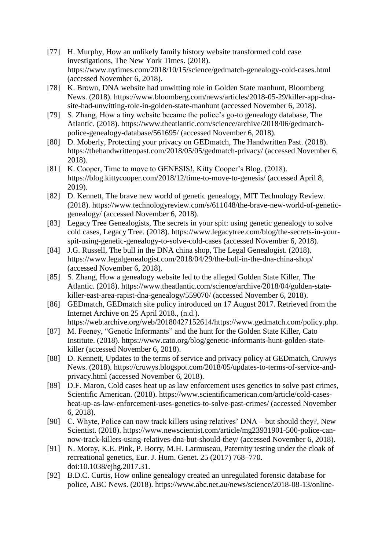- [77] H. Murphy, How an unlikely family history website transformed cold case investigations, The New York Times. (2018). https://www.nytimes.com/2018/10/15/science/gedmatch-genealogy-cold-cases.html (accessed November 6, 2018).
- [78] K. Brown, DNA website had unwitting role in Golden State manhunt, Bloomberg News. (2018). https://www.bloomberg.com/news/articles/2018-05-29/killer-app-dnasite-had-unwitting-role-in-golden-state-manhunt (accessed November 6, 2018).
- [79] S. Zhang, How a tiny website became the police's go-to genealogy database, The Atlantic. (2018). https://www.theatlantic.com/science/archive/2018/06/gedmatchpolice-genealogy-database/561695/ (accessed November 6, 2018).
- [80] D. Moberly, Protecting your privacy on GEDmatch, The Handwritten Past. (2018). https://thehandwrittenpast.com/2018/05/05/gedmatch-privacy/ (accessed November 6, 2018).
- [81] K. Cooper, Time to move to GENESIS!, Kitty Cooper's Blog. (2018). https://blog.kittycooper.com/2018/12/time-to-move-to-genesis/ (accessed April 8, 2019).
- [82] D. Kennett, The brave new world of genetic genealogy, MIT Technology Review. (2018). https://www.technologyreview.com/s/611048/the-brave-new-world-of-geneticgenealogy/ (accessed November 6, 2018).
- [83] Legacy Tree Genealogists, The secrets in your spit: using genetic genealogy to solve cold cases, Legacy Tree. (2018). https://www.legacytree.com/blog/the-secrets-in-yourspit-using-genetic-genealogy-to-solve-cold-cases (accessed November 6, 2018).
- [84] J.G. Russell, The bull in the DNA china shop, The Legal Genealogist. (2018). https://www.legalgenealogist.com/2018/04/29/the-bull-in-the-dna-china-shop/ (accessed November 6, 2018).
- [85] S. Zhang, How a genealogy website led to the alleged Golden State Killer, The Atlantic. (2018). https://www.theatlantic.com/science/archive/2018/04/golden-statekiller-east-area-rapist-dna-genealogy/559070/ (accessed November 6, 2018).
- [86] GEDmatch, GEDmatch site policy introduced on 17 August 2017. Retrieved from the Internet Archive on 25 April 2018., (n.d.). https://web.archive.org/web/20180427152614/https://www.gedmatch.com/policy.php.
- [87] M. Feeney, "Genetic Informants" and the hunt for the Golden State Killer, Cato Institute. (2018). https://www.cato.org/blog/genetic-informants-hunt-golden-statekiller (accessed November 6, 2018).
- [88] D. Kennett, Updates to the terms of service and privacy policy at GEDmatch, Cruwys News. (2018). https://cruwys.blogspot.com/2018/05/updates-to-terms-of-service-andprivacy.html (accessed November 6, 2018).
- [89] D.F. Maron, Cold cases heat up as law enforcement uses genetics to solve past crimes, Scientific American. (2018). https://www.scientificamerican.com/article/cold-casesheat-up-as-law-enforcement-uses-genetics-to-solve-past-crimes/ (accessed November 6, 2018).
- [90] C. Whyte, Police can now track killers using relatives' DNA but should they?, New Scientist. (2018). https://www.newscientist.com/article/mg23931901-500-police-cannow-track-killers-using-relatives-dna-but-should-they/ (accessed November 6, 2018).
- [91] N. Moray, K.E. Pink, P. Borry, M.H. Larmuseau, Paternity testing under the cloak of recreational genetics, Eur. J. Hum. Genet. 25 (2017) 768–770. doi:10.1038/ejhg.2017.31.
- [92] B.D.C. Curtis, How online genealogy created an unregulated forensic database for police, ABC News. (2018). https://www.abc.net.au/news/science/2018-08-13/online-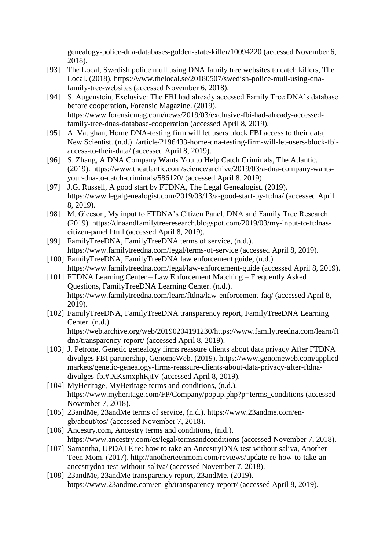genealogy-police-dna-databases-golden-state-killer/10094220 (accessed November 6, 2018).

- [93] The Local, Swedish police mull using DNA family tree websites to catch killers, The Local. (2018). https://www.thelocal.se/20180507/swedish-police-mull-using-dnafamily-tree-websites (accessed November 6, 2018).
- [94] S. Augenstein, Exclusive: The FBI had already accessed Family Tree DNA's database before cooperation, Forensic Magazine. (2019). https://www.forensicmag.com/news/2019/03/exclusive-fbi-had-already-accessedfamily-tree-dnas-database-cooperation (accessed April 8, 2019).
- [95] A. Vaughan, Home DNA-testing firm will let users block FBI access to their data, New Scientist. (n.d.). /article/2196433-home-dna-testing-firm-will-let-users-block-fbiaccess-to-their-data/ (accessed April 8, 2019).
- [96] S. Zhang, A DNA Company Wants You to Help Catch Criminals, The Atlantic. (2019). https://www.theatlantic.com/science/archive/2019/03/a-dna-company-wantsyour-dna-to-catch-criminals/586120/ (accessed April 8, 2019).
- [97] J.G. Russell, A good start by FTDNA, The Legal Genealogist. (2019). https://www.legalgenealogist.com/2019/03/13/a-good-start-by-ftdna/ (accessed April 8, 2019).
- [98] M. Gleeson, My input to FTDNA's Citizen Panel, DNA and Family Tree Research. (2019). https://dnaandfamilytreeresearch.blogspot.com/2019/03/my-input-to-ftdnascitizen-panel.html (accessed April 8, 2019).
- [99] FamilyTreeDNA, FamilyTreeDNA terms of service, (n.d.). https://www.familytreedna.com/legal/terms-of-service (accessed April 8, 2019).
- [100] FamilyTreeDNA, FamilyTreeDNA law enforcement guide, (n.d.). https://www.familytreedna.com/legal/law-enforcement-guide (accessed April 8, 2019).
- [101] FTDNA Learning Center Law Enforcement Matching Frequently Asked Questions, FamilyTreeDNA Learning Center. (n.d.). https://www.familytreedna.com/learn/ftdna/law-enforcement-faq/ (accessed April 8, 2019).
- [102] FamilyTreeDNA, FamilyTreeDNA transparency report, FamilyTreeDNA Learning Center. (n.d.).

https://web.archive.org/web/20190204191230/https://www.familytreedna.com/learn/ft dna/transparency-report/ (accessed April 8, 2019).

- [103] J. Petrone, Genetic genealogy firms reassure clients about data privacy After FTDNA divulges FBI partnership, GenomeWeb. (2019). https://www.genomeweb.com/appliedmarkets/genetic-genealogy-firms-reassure-clients-about-data-privacy-after-ftdnadivulges-fbi#.XKsmxphKjIV (accessed April 8, 2019).
- [104] MyHeritage, MyHeritage terms and conditions,  $(n.d.).$ https://www.myheritage.com/FP/Company/popup.php?p=terms\_conditions (accessed November 7, 2018).
- [105] 23andMe, 23andMe terms of service, (n.d.). https://www.23andme.com/engb/about/tos/ (accessed November 7, 2018).
- [106] Ancestry.com, Ancestry terms and conditions,  $(n.d.).$ https://www.ancestry.com/cs/legal/termsandconditions (accessed November 7, 2018).
- [107] Samantha, UPDATE re: how to take an AncestryDNA test without saliva, Another Teen Mom. (2017). http://anotherteenmom.com/reviews/update-re-how-to-take-anancestrydna-test-without-saliva/ (accessed November 7, 2018).
- [108] 23andMe, 23andMe transparency report, 23andMe. (2019). https://www.23andme.com/en-gb/transparency-report/ (accessed April 8, 2019).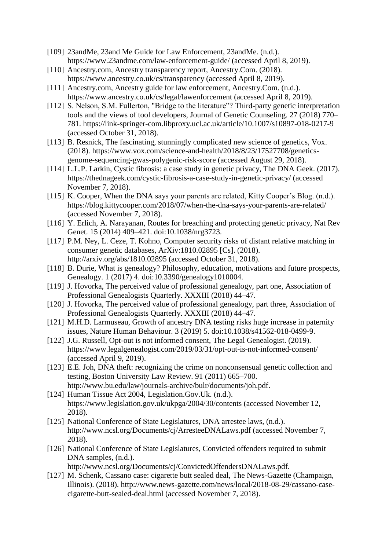- [109] 23andMe, 23and Me Guide for Law Enforcement, 23andMe. (n.d.). https://www.23andme.com/law-enforcement-guide/ (accessed April 8, 2019).
- [110] Ancestry.com, Ancestry transparency report, Ancestry.Com. (2018). https://www.ancestry.co.uk/cs/transparency (accessed April 8, 2019).
- [111] Ancestry.com, Ancestry guide for law enforcement, Ancestry.Com. (n.d.). https://www.ancestry.co.uk/cs/legal/lawenforcement (accessed April 8, 2019).
- [112] S. Nelson, S.M. Fullerton, "Bridge to the literature"? Third-party genetic interpretation tools and the views of tool developers, Journal of Genetic Counseling. 27 (2018) 770– 781. https://link-springer-com.libproxy.ucl.ac.uk/article/10.1007/s10897-018-0217-9 (accessed October 31, 2018).
- [113] B. Resnick, The fascinating, stunningly complicated new science of genetics, Vox. (2018). https://www.vox.com/science-and-health/2018/8/23/17527708/geneticsgenome-sequencing-gwas-polygenic-risk-score (accessed August 29, 2018).
- [114] L.L.P. Larkin, Cystic fibrosis: a case study in genetic privacy, The DNA Geek. (2017). https://thednageek.com/cystic-fibrosis-a-case-study-in-genetic-privacy/ (accessed November 7, 2018).
- [115] K. Cooper, When the DNA says your parents are related, Kitty Cooper's Blog. (n.d.). https://blog.kittycooper.com/2018/07/when-the-dna-says-your-parents-are-related/ (accessed November 7, 2018).
- [116] Y. Erlich, A. Narayanan, Routes for breaching and protecting genetic privacy, Nat Rev Genet. 15 (2014) 409–421. doi:10.1038/nrg3723.
- [117] P.M. Ney, L. Ceze, T. Kohno, Computer security risks of distant relative matching in consumer genetic databases, ArXiv:1810.02895 [Cs]. (2018). http://arxiv.org/abs/1810.02895 (accessed October 31, 2018).
- [118] B. Durie, What is genealogy? Philosophy, education, motivations and future prospects, Genealogy. 1 (2017) 4. doi:10.3390/genealogy1010004.
- [119] J. Hovorka, The perceived value of professional genealogy, part one, Association of Professional Genealogists Quarterly. XXXIII (2018) 44–47.
- [120] J. Hovorka, The perceived value of professional genealogy, part three, Association of Professional Genealogists Quarterly. XXXIII (2018) 44–47.
- [121] M.H.D. Larmuseau, Growth of ancestry DNA testing risks huge increase in paternity issues, Nature Human Behaviour. 3 (2019) 5. doi:10.1038/s41562-018-0499-9.
- [122] J.G. Russell, Opt-out is not informed consent, The Legal Genealogist. (2019). https://www.legalgenealogist.com/2019/03/31/opt-out-is-not-informed-consent/ (accessed April 9, 2019).
- [123] E.E. Joh, DNA theft: recognizing the crime on nonconsensual genetic collection and testing, Boston University Law Review. 91 (2011) 665–700. http://www.bu.edu/law/journals-archive/bulr/documents/joh.pdf.
- [124] Human Tissue Act 2004, Legislation.Gov.Uk. (n.d.). https://www.legislation.gov.uk/ukpga/2004/30/contents (accessed November 12, 2018).
- [125] National Conference of State Legislatures, DNA arrestee laws, (n.d.). http://www.ncsl.org/Documents/cj/ArresteeDNALaws.pdf (accessed November 7, 2018).
- [126] National Conference of State Legislatures, Convicted offenders required to submit DNA samples, (n.d.).

http://www.ncsl.org/Documents/cj/ConvictedOffendersDNALaws.pdf.

[127] M. Schenk, Cassano case: cigarette butt sealed deal, The News-Gazette (Champaign, Illinois). (2018). http://www.news-gazette.com/news/local/2018-08-29/cassano-casecigarette-butt-sealed-deal.html (accessed November 7, 2018).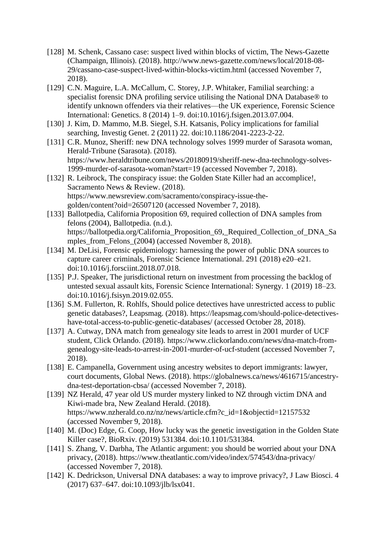- [128] M. Schenk, Cassano case: suspect lived within blocks of victim, The News-Gazette (Champaign, Illinois). (2018). http://www.news-gazette.com/news/local/2018-08- 29/cassano-case-suspect-lived-within-blocks-victim.html (accessed November 7, 2018).
- [129] C.N. Maguire, L.A. McCallum, C. Storey, J.P. Whitaker, Familial searching: a specialist forensic DNA profiling service utilising the National DNA Database® to identify unknown offenders via their relatives—the UK experience, Forensic Science International: Genetics. 8 (2014) 1–9. doi:10.1016/j.fsigen.2013.07.004.
- [130] J. Kim, D. Mammo, M.B. Siegel, S.H. Katsanis, Policy implications for familial searching, Investig Genet. 2 (2011) 22. doi:10.1186/2041-2223-2-22.
- [131] C.R. Munoz, Sheriff: new DNA technology solves 1999 murder of Sarasota woman, Herald-Tribune (Sarasota). (2018). https://www.heraldtribune.com/news/20180919/sheriff-new-dna-technology-solves-1999-murder-of-sarasota-woman?start=19 (accessed November 7, 2018).
- [132] R. Leibrock, The conspiracy issue: the Golden State Killer had an accomplice!, Sacramento News & Review. (2018). https://www.newsreview.com/sacramento/conspiracy-issue-thegolden/content?oid=26507120 (accessed November 7, 2018).
- [133] Ballotpedia, California Proposition 69, required collection of DNA samples from felons (2004), Ballotpedia. (n.d.). https://ballotpedia.org/California\_Proposition\_69,\_Required\_Collection\_of\_DNA\_Sa mples from Felons (2004) (accessed November 8, 2018).
- [134] M. DeLisi, Forensic epidemiology: harnessing the power of public DNA sources to capture career criminals, Forensic Science International. 291 (2018) e20–e21. doi:10.1016/j.forsciint.2018.07.018.
- [135] P.J. Speaker, The jurisdictional return on investment from processing the backlog of untested sexual assault kits, Forensic Science International: Synergy. 1 (2019) 18–23. doi:10.1016/j.fsisyn.2019.02.055.
- [136] S.M. Fullerton, R. Rohlfs, Should police detectives have unrestricted access to public genetic databases?, Leapsmag. (2018). https://leapsmag.com/should-police-detectiveshave-total-access-to-public-genetic-databases/ (accessed October 28, 2018).
- [137] A. Cutway, DNA match from genealogy site leads to arrest in 2001 murder of UCF student, Click Orlando. (2018). https://www.clickorlando.com/news/dna-match-fromgenealogy-site-leads-to-arrest-in-2001-murder-of-ucf-student (accessed November 7, 2018).
- [138] E. Campanella, Government using ancestry websites to deport immigrants: lawyer, court documents, Global News. (2018). https://globalnews.ca/news/4616715/ancestrydna-test-deportation-cbsa/ (accessed November 7, 2018).
- [139] NZ Herald, 47 year old US murder mystery linked to NZ through victim DNA and Kiwi-made bra, New Zealand Herald. (2018). https://www.nzherald.co.nz/nz/news/article.cfm?c\_id=1&objectid=12157532 (accessed November 9, 2018).
- [140] M. (Doc) Edge, G. Coop, How lucky was the genetic investigation in the Golden State Killer case?, BioRxiv. (2019) 531384. doi:10.1101/531384.
- [141] S. Zhang, V. Darbha, The Atlantic argument: you should be worried about your DNA privacy, (2018). https://www.theatlantic.com/video/index/574543/dna-privacy/ (accessed November 7, 2018).
- [142] K. Dedrickson, Universal DNA databases: a way to improve privacy?, J Law Biosci. 4 (2017) 637–647. doi:10.1093/jlb/lsx041.